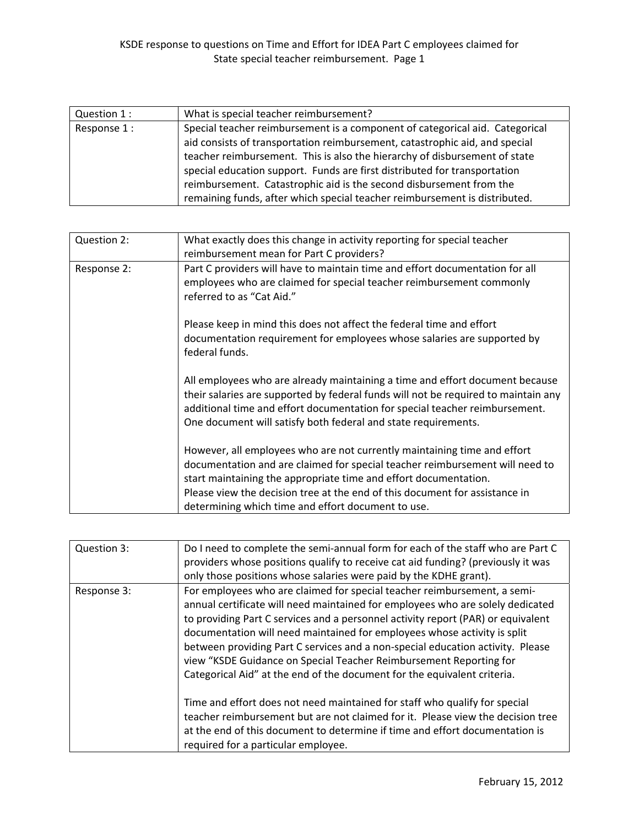| Question 1 : | What is special teacher reimbursement?                                       |
|--------------|------------------------------------------------------------------------------|
| Response 1:  | Special teacher reimbursement is a component of categorical aid. Categorical |
|              | aid consists of transportation reimbursement, catastrophic aid, and special  |
|              | teacher reimbursement. This is also the hierarchy of disbursement of state   |
|              | special education support. Funds are first distributed for transportation    |
|              | reimbursement. Catastrophic aid is the second disbursement from the          |
|              | remaining funds, after which special teacher reimbursement is distributed.   |

| Question 2: | What exactly does this change in activity reporting for special teacher<br>reimbursement mean for Part C providers?                                                                                                                                                                                                                                               |
|-------------|-------------------------------------------------------------------------------------------------------------------------------------------------------------------------------------------------------------------------------------------------------------------------------------------------------------------------------------------------------------------|
| Response 2: | Part C providers will have to maintain time and effort documentation for all<br>employees who are claimed for special teacher reimbursement commonly<br>referred to as "Cat Aid."                                                                                                                                                                                 |
|             | Please keep in mind this does not affect the federal time and effort<br>documentation requirement for employees whose salaries are supported by<br>federal funds.                                                                                                                                                                                                 |
|             | All employees who are already maintaining a time and effort document because<br>their salaries are supported by federal funds will not be required to maintain any<br>additional time and effort documentation for special teacher reimbursement.<br>One document will satisfy both federal and state requirements.                                               |
|             | However, all employees who are not currently maintaining time and effort<br>documentation and are claimed for special teacher reimbursement will need to<br>start maintaining the appropriate time and effort documentation.<br>Please view the decision tree at the end of this document for assistance in<br>determining which time and effort document to use. |

| Question 3: | Do I need to complete the semi-annual form for each of the staff who are Part C<br>providers whose positions qualify to receive cat aid funding? (previously it was<br>only those positions whose salaries were paid by the KDHE grant).                                                                                                                                                                                                                                                                                                                       |
|-------------|----------------------------------------------------------------------------------------------------------------------------------------------------------------------------------------------------------------------------------------------------------------------------------------------------------------------------------------------------------------------------------------------------------------------------------------------------------------------------------------------------------------------------------------------------------------|
| Response 3: | For employees who are claimed for special teacher reimbursement, a semi-<br>annual certificate will need maintained for employees who are solely dedicated<br>to providing Part C services and a personnel activity report (PAR) or equivalent<br>documentation will need maintained for employees whose activity is split<br>between providing Part C services and a non-special education activity. Please<br>view "KSDE Guidance on Special Teacher Reimbursement Reporting for<br>Categorical Aid" at the end of the document for the equivalent criteria. |
|             | Time and effort does not need maintained for staff who qualify for special<br>teacher reimbursement but are not claimed for it. Please view the decision tree<br>at the end of this document to determine if time and effort documentation is<br>required for a particular employee.                                                                                                                                                                                                                                                                           |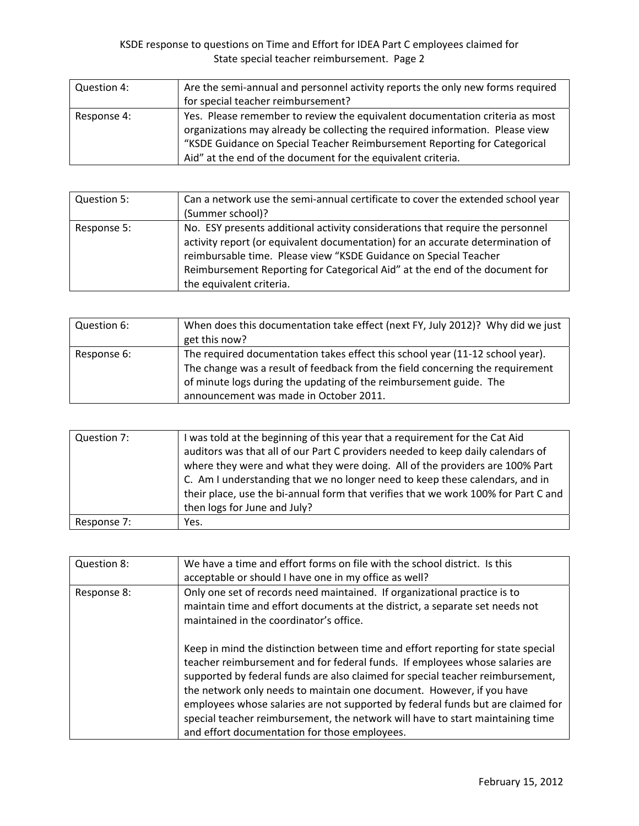## KSDE response to questions on Time and Effort for IDEA Part C employees claimed for State special teacher reimbursement. Page 2

| Question 4: | Are the semi-annual and personnel activity reports the only new forms required<br>for special teacher reimbursement?                                                                                                                                                                                       |
|-------------|------------------------------------------------------------------------------------------------------------------------------------------------------------------------------------------------------------------------------------------------------------------------------------------------------------|
| Response 4: | Yes. Please remember to review the equivalent documentation criteria as most<br>organizations may already be collecting the required information. Please view<br>"KSDE Guidance on Special Teacher Reimbursement Reporting for Categorical<br>Aid" at the end of the document for the equivalent criteria. |

| Question 5: | Can a network use the semi-annual certificate to cover the extended school year<br>(Summer school)?                                                                                                                                                                                                                                             |
|-------------|-------------------------------------------------------------------------------------------------------------------------------------------------------------------------------------------------------------------------------------------------------------------------------------------------------------------------------------------------|
| Response 5: | No. ESY presents additional activity considerations that require the personnel<br>activity report (or equivalent documentation) for an accurate determination of<br>reimbursable time. Please view "KSDE Guidance on Special Teacher<br>Reimbursement Reporting for Categorical Aid" at the end of the document for<br>the equivalent criteria. |

| Question 6: | When does this documentation take effect (next FY, July 2012)? Why did we just<br>get this now?                                                                                                                                                                                |
|-------------|--------------------------------------------------------------------------------------------------------------------------------------------------------------------------------------------------------------------------------------------------------------------------------|
| Response 6: | The required documentation takes effect this school year (11-12 school year).<br>The change was a result of feedback from the field concerning the requirement<br>of minute logs during the updating of the reimbursement guide. The<br>announcement was made in October 2011. |

| Question 7: | I was told at the beginning of this year that a requirement for the Cat Aid<br>auditors was that all of our Part C providers needed to keep daily calendars of<br>where they were and what they were doing. All of the providers are 100% Part |
|-------------|------------------------------------------------------------------------------------------------------------------------------------------------------------------------------------------------------------------------------------------------|
|             | C. Am I understanding that we no longer need to keep these calendars, and in<br>their place, use the bi-annual form that verifies that we work 100% for Part C and<br>then logs for June and July?                                             |
| Response 7: | Yes.                                                                                                                                                                                                                                           |

| Question 8: | We have a time and effort forms on file with the school district. Is this<br>acceptable or should I have one in my office as well?                                                                                                                                                                                                                                                                                                                                                                                                                |
|-------------|---------------------------------------------------------------------------------------------------------------------------------------------------------------------------------------------------------------------------------------------------------------------------------------------------------------------------------------------------------------------------------------------------------------------------------------------------------------------------------------------------------------------------------------------------|
| Response 8: | Only one set of records need maintained. If organizational practice is to<br>maintain time and effort documents at the district, a separate set needs not<br>maintained in the coordinator's office.                                                                                                                                                                                                                                                                                                                                              |
|             | Keep in mind the distinction between time and effort reporting for state special<br>teacher reimbursement and for federal funds. If employees whose salaries are<br>supported by federal funds are also claimed for special teacher reimbursement,<br>the network only needs to maintain one document. However, if you have<br>employees whose salaries are not supported by federal funds but are claimed for<br>special teacher reimbursement, the network will have to start maintaining time<br>and effort documentation for those employees. |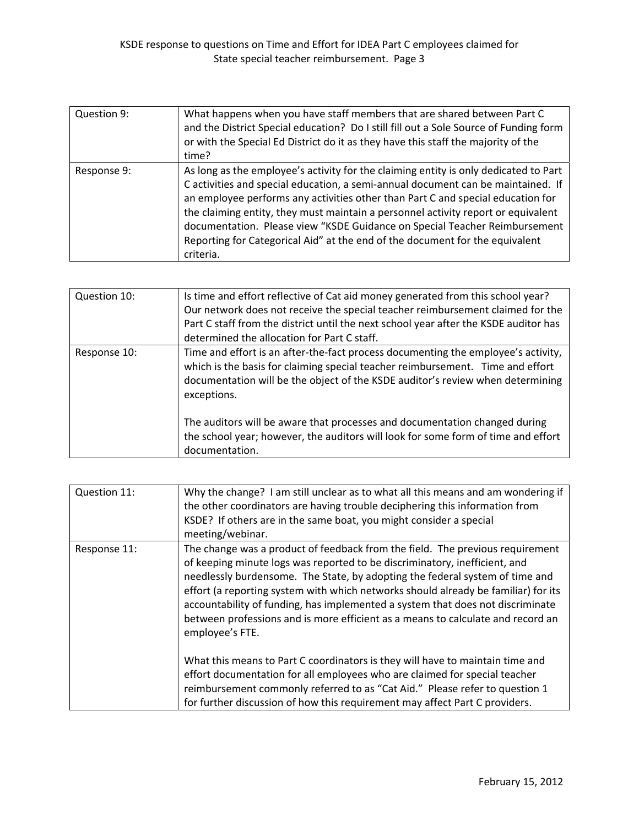| Question 9: | What happens when you have staff members that are shared between Part C<br>and the District Special education? Do I still fill out a Sole Source of Funding form<br>or with the Special Ed District do it as they have this staff the majority of the<br>time?                                                                                                                                                                                                                                                              |
|-------------|-----------------------------------------------------------------------------------------------------------------------------------------------------------------------------------------------------------------------------------------------------------------------------------------------------------------------------------------------------------------------------------------------------------------------------------------------------------------------------------------------------------------------------|
| Response 9: | As long as the employee's activity for the claiming entity is only dedicated to Part<br>C activities and special education, a semi-annual document can be maintained. If<br>an employee performs any activities other than Part C and special education for<br>the claiming entity, they must maintain a personnel activity report or equivalent<br>documentation. Please view "KSDE Guidance on Special Teacher Reimbursement<br>Reporting for Categorical Aid" at the end of the document for the equivalent<br>criteria. |

| Question 10: | Is time and effort reflective of Cat aid money generated from this school year?<br>Our network does not receive the special teacher reimbursement claimed for the<br>Part C staff from the district until the next school year after the KSDE auditor has<br>determined the allocation for Part C staff. |
|--------------|----------------------------------------------------------------------------------------------------------------------------------------------------------------------------------------------------------------------------------------------------------------------------------------------------------|
| Response 10: | Time and effort is an after-the-fact process documenting the employee's activity,<br>which is the basis for claiming special teacher reimbursement. Time and effort<br>documentation will be the object of the KSDE auditor's review when determining<br>exceptions.                                     |
|              | The auditors will be aware that processes and documentation changed during<br>the school year; however, the auditors will look for some form of time and effort<br>documentation.                                                                                                                        |

| Question 11: | Why the change? I am still unclear as to what all this means and am wondering if<br>the other coordinators are having trouble deciphering this information from<br>KSDE? If others are in the same boat, you might consider a special<br>meeting/webinar.                                                                                                                                                                                                                                                                                                                                                  |
|--------------|------------------------------------------------------------------------------------------------------------------------------------------------------------------------------------------------------------------------------------------------------------------------------------------------------------------------------------------------------------------------------------------------------------------------------------------------------------------------------------------------------------------------------------------------------------------------------------------------------------|
| Response 11: | The change was a product of feedback from the field. The previous requirement<br>of keeping minute logs was reported to be discriminatory, inefficient, and<br>needlessly burdensome. The State, by adopting the federal system of time and<br>effort (a reporting system with which networks should already be familiar) for its<br>accountability of funding, has implemented a system that does not discriminate<br>between professions and is more efficient as a means to calculate and record an<br>employee's FTE.<br>What this means to Part C coordinators is they will have to maintain time and |
|              | effort documentation for all employees who are claimed for special teacher<br>reimbursement commonly referred to as "Cat Aid." Please refer to question 1<br>for further discussion of how this requirement may affect Part C providers.                                                                                                                                                                                                                                                                                                                                                                   |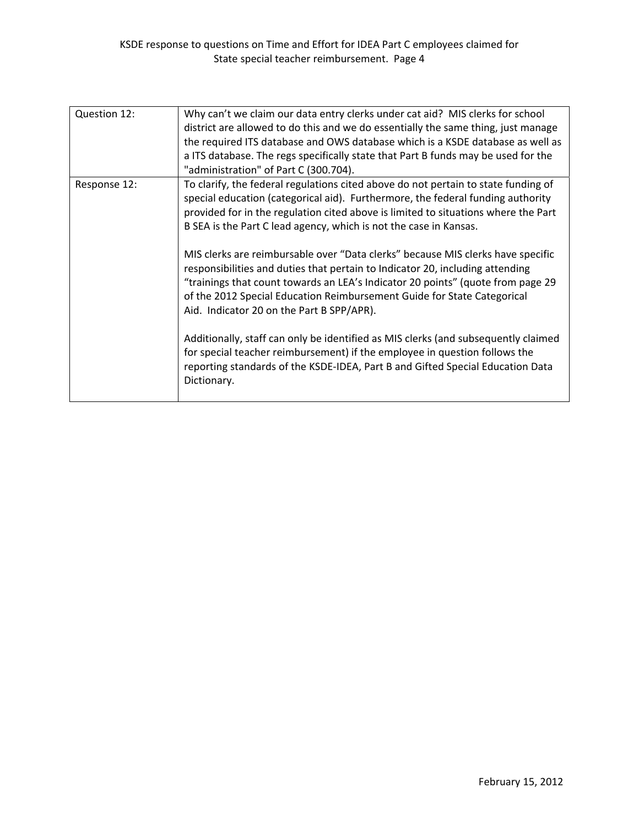| Question 12: | Why can't we claim our data entry clerks under cat aid? MIS clerks for school<br>district are allowed to do this and we do essentially the same thing, just manage<br>the required ITS database and OWS database which is a KSDE database as well as<br>a ITS database. The regs specifically state that Part B funds may be used for the<br>"administration" of Part C (300.704). |
|--------------|------------------------------------------------------------------------------------------------------------------------------------------------------------------------------------------------------------------------------------------------------------------------------------------------------------------------------------------------------------------------------------|
| Response 12: | To clarify, the federal regulations cited above do not pertain to state funding of<br>special education (categorical aid). Furthermore, the federal funding authority<br>provided for in the regulation cited above is limited to situations where the Part<br>B SEA is the Part C lead agency, which is not the case in Kansas.                                                   |
|              | MIS clerks are reimbursable over "Data clerks" because MIS clerks have specific<br>responsibilities and duties that pertain to Indicator 20, including attending<br>"trainings that count towards an LEA's Indicator 20 points" (quote from page 29<br>of the 2012 Special Education Reimbursement Guide for State Categorical<br>Aid. Indicator 20 on the Part B SPP/APR).        |
|              | Additionally, staff can only be identified as MIS clerks (and subsequently claimed<br>for special teacher reimbursement) if the employee in question follows the<br>reporting standards of the KSDE-IDEA, Part B and Gifted Special Education Data<br>Dictionary.                                                                                                                  |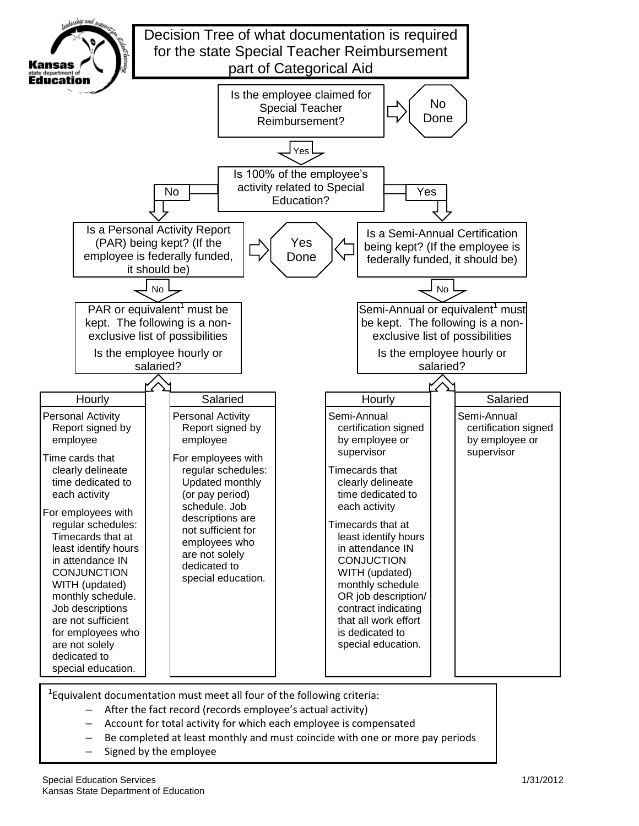

<sup>1</sup> Equivalent documentation must meet all four of the following criteria:

- After the fact record (records employee's actual activity)
- Account for total activity for which each employee is compensated
- Be completed at least monthly and must coincide with one or more pay periods
- Signed by the employee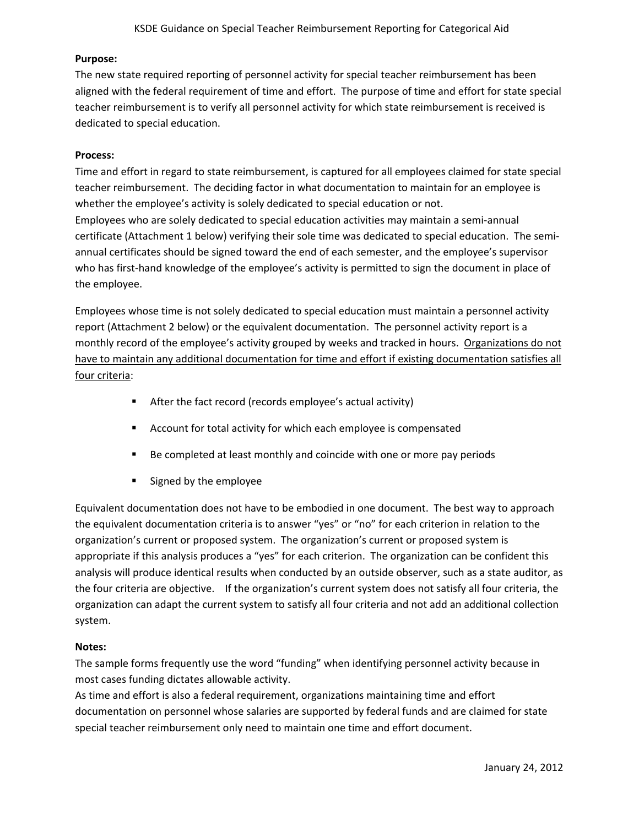#### **Purpose:**

The new state required reporting of personnel activity for special teacher reimbursement has been aligned with the federal requirement of time and effort. The purpose of time and effort for state special teacher reimbursement is to verify all personnel activity for which state reimbursement is received is dedicated to special education.

#### **Process:**

Time and effort in regard to state reimbursement, is captured for all employees claimed for state special teacher reimbursement. The deciding factor in what documentation to maintain for an employee is whether the employee's activity is solely dedicated to special education or not. Employees who are solely dedicated to special education activities may maintain a semi‐annual certificate (Attachment 1 below) verifying their sole time was dedicated to special education. The semi‐ annual certificates should be signed toward the end of each semester, and the employee's supervisor who has first-hand knowledge of the employee's activity is permitted to sign the document in place of the employee.

Employees whose time is not solely dedicated to special education must maintain a personnel activity report (Attachment 2 below) or the equivalent documentation. The personnel activity report is a monthly record of the employee's activity grouped by weeks and tracked in hours. Organizations do not have to maintain any additional documentation for time and effort if existing documentation satisfies all four criteria:

- **After the fact record (records employee's actual activity)**
- Account for total activity for which each employee is compensated
- Be completed at least monthly and coincide with one or more pay periods
- **Signed by the employee**

Equivalent documentation does not have to be embodied in one document. The best way to approach the equivalent documentation criteria is to answer "yes" or "no" for each criterion in relation to the organization's current or proposed system. The organization's current or proposed system is appropriate if this analysis produces a "yes" for each criterion. The organization can be confident this analysis will produce identical results when conducted by an outside observer, such as a state auditor, as the four criteria are objective. If the organization's current system does not satisfy all four criteria, the organization can adapt the current system to satisfy all four criteria and not add an additional collection system.

### **Notes:**

The sample forms frequently use the word "funding" when identifying personnel activity because in most cases funding dictates allowable activity.

As time and effort is also a federal requirement, organizations maintaining time and effort documentation on personnel whose salaries are supported by federal funds and are claimed for state special teacher reimbursement only need to maintain one time and effort document.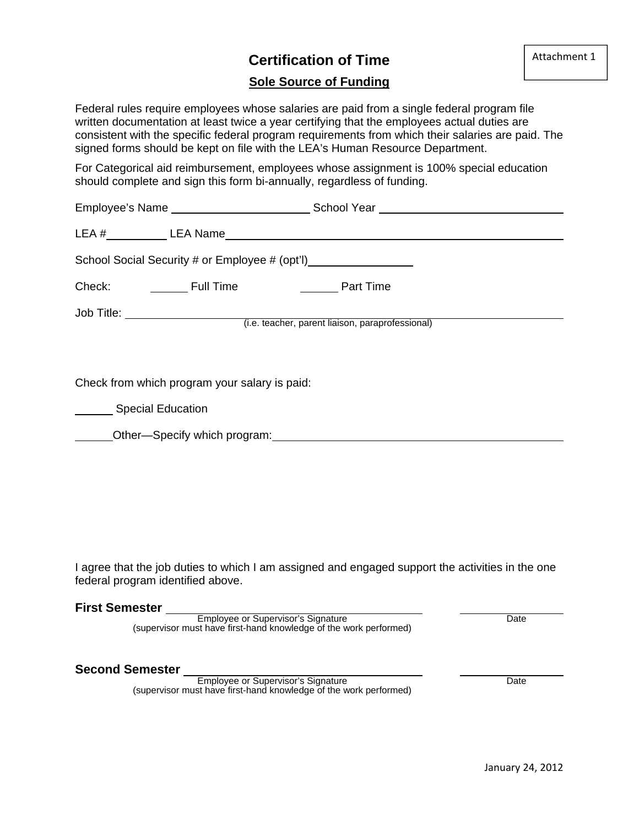# **Certification of Time**

### **Sole Source of Funding**

Federal rules require employees whose salaries are paid from a single federal program file written documentation at least twice a year certifying that the employees actual duties are consistent with the specific federal program requirements from which their salaries are paid. The signed forms should be kept on file with the LEA's Human Resource Department.

For Categorical aid reimbursement, employees whose assignment is 100% special education should complete and sign this form bi-annually, regardless of funding.

| School Social Security # or Employee # (opt'l) _________________________________                                                                                                                                               |  |
|--------------------------------------------------------------------------------------------------------------------------------------------------------------------------------------------------------------------------------|--|
|                                                                                                                                                                                                                                |  |
|                                                                                                                                                                                                                                |  |
|                                                                                                                                                                                                                                |  |
|                                                                                                                                                                                                                                |  |
| Check from which program your salary is paid:                                                                                                                                                                                  |  |
| Special Education                                                                                                                                                                                                              |  |
| Other—Specify which program: Department of the contract of the contract of the contract of the contract of the contract of the contract of the contract of the contract of the contract of the contract of the contract of the |  |
|                                                                                                                                                                                                                                |  |
|                                                                                                                                                                                                                                |  |
|                                                                                                                                                                                                                                |  |
|                                                                                                                                                                                                                                |  |
| I agree that the job duties to which I am assigned and engaged support the activities in the one<br>federal program identified above.                                                                                          |  |

#### **First Semester**

Employee or Supervisor's Signature **Date** Date (supervisor must have first-hand knowledge of the work performed)

### **Second Semester**

Employee or Supervisor's Signature **Date** Date (supervisor must have first-hand knowledge of the work performed)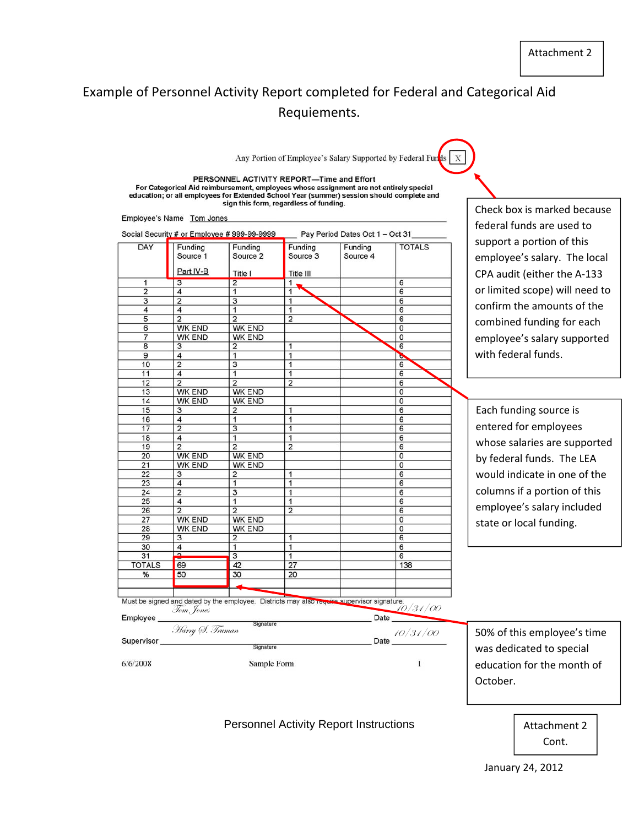# Example of Personnel Activity Report completed for Federal and Categorical Aid Requiements.

Any Portion of Employee's Salary Supported by Federal Funds  $\overline{X}$ 

#### PERSONNEL ACTIVITY REPORT-Time and Effort For Categorical Aid reimbursement, employees whose assignment are not entirely special education; or all employees for Extended School Year (summer) session should complete and sign this form, regardless of funding.

Employee's Name Tom Jones Social Security # or Employee # 999-99-9999 Pay Period Dates Oct 1 - Oct 31 DAY Funding Funding Funding Funding **TOTALS** Source 3 Source 1 Source<sub>2</sub> Source 4 Part IV-B Title I Title III  $6\overline{6}$  $\mathbf{1}$  $\sqrt{3}$  $\overline{2}$  $\mathbf{1}$  $\overline{2}$  $\overline{4}$  $\overline{1}$  $\overline{1}$  $6$  $\overline{\overline{3}}$  $\overline{2}$  $\overline{\mathbf{3}}$  $\mathbf{1}$  $\overline{6}$  $\overline{4}$  $\overline{4}$  $\overline{6}$  $\mathbf{1}$  $\mathbf{1}$ 5  $\overline{2}$  $\overline{2}$  $\overline{2}$ 6 **WK END WK END**  $\overline{\mathbf{0}}$ 6  $\overline{7}$ **WK END WK END**  $\overline{0}$ 8 3  $\overline{2}$  $\overline{1}$ 6  $\overline{4}$  $\overline{9}$  $\overline{1}$  $\overline{1}$ P  $10$  $\overline{2}$  $\overline{\mathbf{3}}$  $\overline{6}$  $\mathbf{1}$  $11$  $\overline{4}$  $\overline{1}$  $\mathbf{1}$ 6  $12$  $\overline{2}$  $\overline{2}$  $\overline{2}$  $6$  $13$ **WK END WK END**  $\overline{0}$ **WK END WK END** 14  $\overline{0}$ 15 3  $\overline{2}$  $\overline{1}$  $6$  $16$  $6$  $\overline{4}$  $\overline{1}$ 1 17  $\overline{2}$ 3  $\overline{1}$ 6  $18$  $\overline{4}$  $\overline{1}$  $\mathbf{1}$  $6\overline{6}$  $19$  $\overline{2}$  $\overline{2}$  $6$ **WK END WK END** 20  $\mathbf 0$ **WK END WK END**  $21$  $\overline{\mathbf{0}}$ 22 6 3 2 1  $\overline{23}$  $\overline{4}$ 6  $\mathbf{1}$  $\mathbf{1}$ 24  $\overline{2}$  $\overline{3}$  $\overline{1}$  $6$ 25  $\overline{4}$  $\overline{1}$ 6  $\overline{1}$ 26  $\overline{2}$  $\overline{2}$  $\overline{2}$  $6$ **WK END WK END** 27  $\mathbf 0$  $\overline{28}$ **WK END WK END**  $\overline{\mathfrak{o}}$  $\overline{29}$  $\overline{3}$  $\overline{2}$  $\overline{1}$  $6$ 30  $\overline{4}$ 1  $\mathbf{1}$ 6  $31$  $\overline{3}$  $6\overline{}$  $\overline{1}$ **TOTALS** 69 138 42 27 % 50 30 20 Must be signed and dated by the employee. Districts may also re  $\frac{D}{D}$ supervisor signature. Tom Jones Date Employee Signature Harry (J. Truman  $10/31/00$ Supervisor\_ Date Signature 6/6/2008  $\mathbf{1}$ 

Check box is marked because federal funds are used to support a portion of this employee's salary. The local CPA audit (either the A‐133 or limited scope) will need to confirm the amounts of the combined funding for each employee's salary supported with federal funds.

Each funding source is entered for employees whose salaries are supported by federal funds. The LEA would indicate in one of the columns if a portion of this employee's salary included state or local funding.

Sample Form

was dedicated to special education for the month of October.

### Personnel Activity Report Instructions

Attachment 2 Cont.

50% of this employee's time